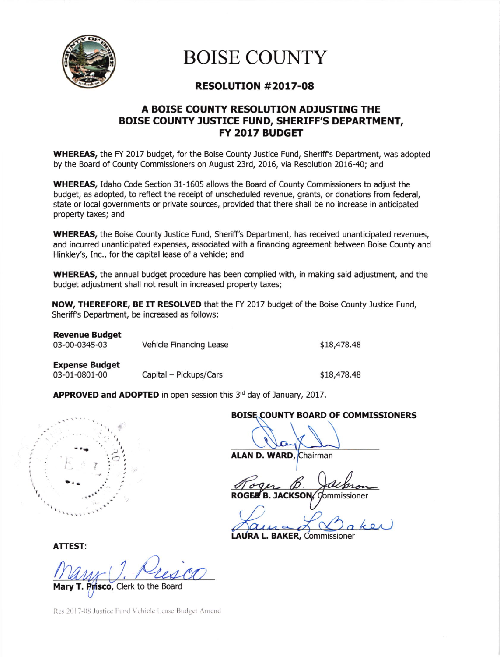

## BOISE COLINTY

### RESOLUTION #20t7-Oa

#### A BOISE COUNTY RESOLUTION ADJUSTING THE BOISE COUNTY JUSTICE FUND, SHERIFF'S DEPARTMENT, FY 2OL7 BUDGET

WHEREAS, the FY 2017 budget, for the Boise County Justice Fund, Sheriff's Department, was adopted by the Board of County Commissioners on August 23td, 2016, via Resolution 2016-40; and

WHEREAS, Idaho Code Section 31-1605 allows the Board of County Commissioners to adjust the budget, as adopted, to reflect the receipt of unscheduled revenue, grants, or donations from federal, state or local governments or private sources, provided that there shall be no increase in anticipated property taxes; and

**WHEREAS,** the Boise County Justice Fund, Sheriff's Department, has received unanticipated revenues, and incurred unanticipated expenses, associated with a financing agreement between Boise County and Hinkley's, Inc., for the capital lease of a vehicle; and

WHEREAS, the annual budget procedure has been complied with, in making said adjustment, and the budget adjustment shall not result in increased property taxes;

NOW, THEREFORE, BE IT RESOLVED that the FY 2017 budget of the Boise County Justice Fund, Sheriff's Department, be increased as follows:

| <b>Revenue Budget</b><br>03-00-0345-03 | Vehicle Financing Lease | \$18,478.48 |
|----------------------------------------|-------------------------|-------------|
| <b>Expense Budget</b>                  |                         |             |

03-01-0801-00 Capital - Pickups/Cars 18,478.48

**APPROVED and ADOPTED** in open session this  $3<sup>rd</sup>$  day of January, 2017.



#### BOISE COUNTY BOARD OF COMMISSIONERS

ALAN D. WARD, Chairman

ROGER B. JACKSON/Commissioner

AURA L. BAKER, Commissioner

ATTEST:

isco, Clerk to the Board

Res 2017-08 Justice Fund Vehicle Lease Budget Amend